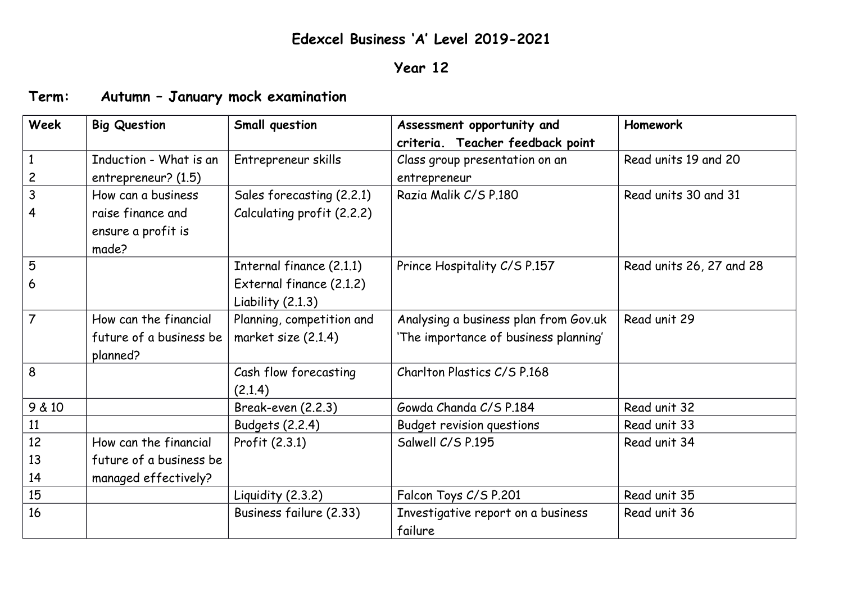## **Edexcel Business 'A' Level 2019-2021**

## **Year 12**

## **Term: Autumn – January mock examination**

| Week           | <b>Big Question</b>                              | Small question                   | Assessment opportunity and            | Homework                 |
|----------------|--------------------------------------------------|----------------------------------|---------------------------------------|--------------------------|
|                |                                                  |                                  | criteria. Teacher feedback point      |                          |
| $\mathbf{1}$   | Induction - What is an                           | Entrepreneur skills              | Class group presentation on an        | Read units 19 and 20     |
| $\overline{c}$ | entrepreneur? (1.5)                              |                                  | entrepreneur                          |                          |
| 3              | How can a business                               | Sales forecasting (2.2.1)        | Razia Malik C/S P.180                 | Read units 30 and 31     |
| 4              | raise finance and<br>ensure a profit is<br>made? | Calculating profit (2.2.2)       |                                       |                          |
| 5              |                                                  | Internal finance (2.1.1)         | Prince Hospitality C/S P.157          | Read units 26, 27 and 28 |
| 6              |                                                  | External finance (2.1.2)         |                                       |                          |
|                |                                                  | Liability $(2.1.3)$              |                                       |                          |
| $\overline{7}$ | How can the financial                            | Planning, competition and        | Analysing a business plan from Gov.uk | Read unit 29             |
|                | future of a business be                          | market size (2.1.4)              | 'The importance of business planning' |                          |
|                | planned?                                         |                                  |                                       |                          |
| 8              |                                                  | Cash flow forecasting<br>(2.1.4) | Charlton Plastics C/S P.168           |                          |
| 9 & 10         |                                                  | Break-even (2.2.3)               | Gowda Chanda C/S P.184                | Read unit 32             |
| 11             |                                                  | <b>Budgets (2.2.4)</b>           | <b>Budget revision questions</b>      | Read unit 33             |
| 12             | How can the financial                            | Profit (2.3.1)                   | Salwell C/S P.195                     | Read unit 34             |
| 13             | future of a business be                          |                                  |                                       |                          |
| 14             | managed effectively?                             |                                  |                                       |                          |
| 15             |                                                  | Liquidity (2.3.2)                | Falcon Toys C/S P.201                 | Read unit 35             |
| 16             |                                                  | Business failure (2.33)          | Investigative report on a business    | Read unit 36             |
|                |                                                  |                                  | failure                               |                          |